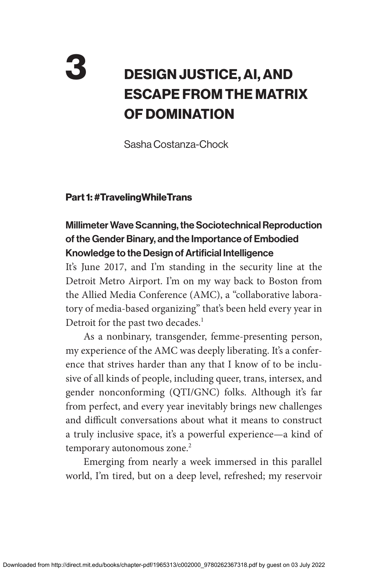# 3

# DESIGN JUSTICE, AI, AND ESCAPE FROM THE MATRIX OF DOMINATION

Sasha Costanza-Chock

# Part 1: #TravelingWhileTrans

# Millimeter Wave Scanning, the Sociotechnical Reproduction of the Gender Binary, and the Importance of Embodied Knowledge to the Design of Artificial Intelligence

It's June 2017, and I'm standing in the security line at the Detroit Metro Airport. I'm on my way back to Boston from the Allied Media Conference (AMC), a "collaborative laboratory of media-based organizing" that's been held every year in Detroit for the past two decades.<sup>1</sup>

As a nonbinary, transgender, femme-presenting person, my experience of the AMC was deeply liberating. It's a conference that strives harder than any that I know of to be inclusive of all kinds of people, including queer, trans, intersex, and gender nonconforming (QTI/GNC) folks. Although it's far from perfect, and every year inevitably brings new challenges and difficult conversations about what it means to construct a truly inclusive space, it's a powerful experience—a kind of temporary autonomous zone.<sup>2</sup>

Emerging from nearly a week immersed in this parallel world, I'm tired, but on a deep level, refreshed; my reservoir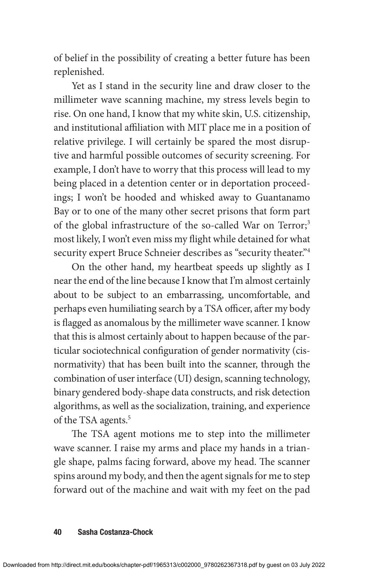of belief in the possibility of creating a better future has been replenished.

Yet as I stand in the security line and draw closer to the millimeter wave scanning machine, my stress levels begin to rise. On one hand, I know that my white skin, U.S. citizenship, and institutional affiliation with MIT place me in a position of relative privilege. I will certainly be spared the most disruptive and harmful possible outcomes of security screening. For example, I don't have to worry that this process will lead to my being placed in a detention center or in deportation proceedings; I won't be hooded and whisked away to Guantanamo Bay or to one of the many other secret prisons that form part of the global infrastructure of the so-called War on Terror;<sup>3</sup> most likely, I won't even miss my flight while detained for what security expert Bruce Schneier describes as "security theater."<sup>4</sup>

On the other hand, my heartbeat speeds up slightly as I near the end of the line because I know that I'm almost certainly about to be subject to an embarrassing, uncomfortable, and perhaps even humiliating search by a TSA officer, after my body is flagged as anomalous by the millimeter wave scanner. I know that this is almost certainly about to happen because of the particular sociotechnical configuration of gender normativity (cisnormativity) that has been built into the scanner, through the combination of user interface (UI) design, scanning technology, binary gendered body-shape data constructs, and risk detection algorithms, as well as the socialization, training, and experience of the TSA agents.<sup>5</sup>

The TSA agent motions me to step into the millimeter wave scanner. I raise my arms and place my hands in a triangle shape, palms facing forward, above my head. The scanner spins around my body, and then the agent signals for me to step forward out of the machine and wait with my feet on the pad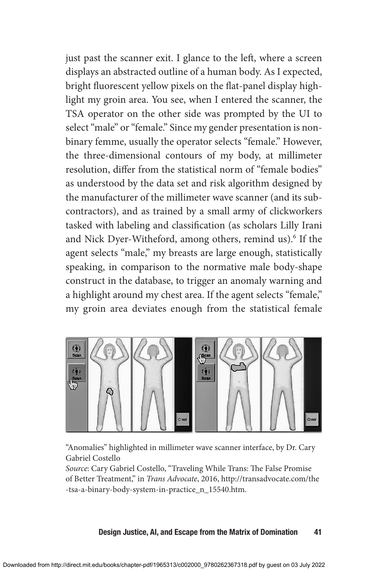just past the scanner exit. I glance to the left, where a screen displays an abstracted outline of a human body. As I expected, bright fluorescent yellow pixels on the flat-panel display highlight my groin area. You see, when I entered the scanner, the TSA operator on the other side was prompted by the UI to select "male" or "female." Since my gender presentation is nonbinary femme, usually the operator selects "female." However, the three-dimensional contours of my body, at millimeter resolution, differ from the statistical norm of "female bodies" as understood by the data set and risk algorithm designed by the manufacturer of the millimeter wave scanner (and its subcontractors), and as trained by a small army of clickworkers tasked with labeling and classification (as scholars Lilly Irani and Nick Dyer-Witheford, among others, remind us).<sup>6</sup> If the agent selects "male," my breasts are large enough, statistically speaking, in comparison to the normative male body-shape construct in the database, to trigger an anomaly warning and a highlight around my chest area. If the agent selects "female," my groin area deviates enough from the statistical female



"Anomalies" highlighted in millimeter wave scanner interface, by Dr. Cary Gabriel Costello

*Source*: Cary Gabriel Costello, "Traveling While Trans: The False Promise of Better Treatment," in *Trans Advocate*, 2016, [http://transadvocate.com/the](http://transadvocate.com/the-tsa-a-binary-body-system-in-practice_n_15540.htm) [-tsa-a-binary-body-system-in-practice\\_n\\_15540.htm](http://transadvocate.com/the-tsa-a-binary-body-system-in-practice_n_15540.htm).

#### Design Justice, AI, and Escape from the Matrix of Domination 41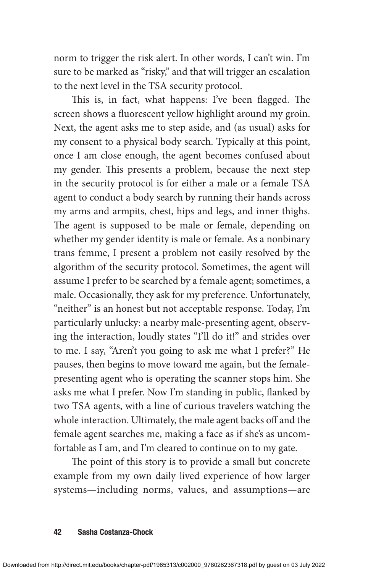norm to trigger the risk alert. In other words, I can't win. I'm sure to be marked as "risky," and that will trigger an escalation to the next level in the TSA security protocol.

This is, in fact, what happens: I've been flagged. The screen shows a fluorescent yellow highlight around my groin. Next, the agent asks me to step aside, and (as usual) asks for my consent to a physical body search. Typically at this point, once I am close enough, the agent becomes confused about my gender. This presents a problem, because the next step in the security protocol is for either a male or a female TSA agent to conduct a body search by running their hands across my arms and armpits, chest, hips and legs, and inner thighs. The agent is supposed to be male or female, depending on whether my gender identity is male or female. As a nonbinary trans femme, I present a problem not easily resolved by the algorithm of the security protocol. Sometimes, the agent will assume I prefer to be searched by a female agent; sometimes, a male. Occasionally, they ask for my preference. Unfortunately, "neither" is an honest but not acceptable response. Today, I'm particularly unlucky: a nearby male-presenting agent, observing the interaction, loudly states "I'll do it!" and strides over to me. I say, "Aren't you going to ask me what I prefer?" He pauses, then begins to move toward me again, but the femalepresenting agent who is operating the scanner stops him. She asks me what I prefer. Now I'm standing in public, flanked by two TSA agents, with a line of curious travelers watching the whole interaction. Ultimately, the male agent backs off and the female agent searches me, making a face as if she's as uncomfortable as I am, and I'm cleared to continue on to my gate.

The point of this story is to provide a small but concrete example from my own daily lived experience of how larger systems—including norms, values, and assumptions—are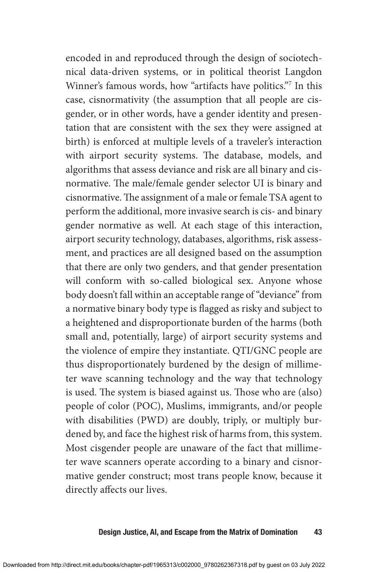encoded in and reproduced through the design of sociotechnical data-driven systems, or in political theorist Langdon Winner's famous words, how "artifacts have politics."<sup>7</sup> In this case, cisnormativity (the assumption that all people are cisgender, or in other words, have a gender identity and presentation that are consistent with the sex they were assigned at birth) is enforced at multiple levels of a traveler's interaction with airport security systems. The database, models, and algorithms that assess deviance and risk are all binary and cisnormative. The male/female gender selector UI is binary and cisnormative. The assignment of a male or female TSA agent to perform the additional, more invasive search is cis- and binary gender normative as well. At each stage of this interaction, airport security technology, databases, algorithms, risk assessment, and practices are all designed based on the assumption that there are only two genders, and that gender presentation will conform with so-called biological sex. Anyone whose body doesn't fall within an acceptable range of "deviance" from a normative binary body type is flagged as risky and subject to a heightened and disproportionate burden of the harms (both small and, potentially, large) of airport security systems and the violence of empire they instantiate. QTI/GNC people are thus disproportionately burdened by the design of millimeter wave scanning technology and the way that technology is used. The system is biased against us. Those who are (also) people of color (POC), Muslims, immigrants, and/or people with disabilities (PWD) are doubly, triply, or multiply burdened by, and face the highest risk of harms from, this system. Most cisgender people are unaware of the fact that millimeter wave scanners operate according to a binary and cisnormative gender construct; most trans people know, because it directly affects our lives.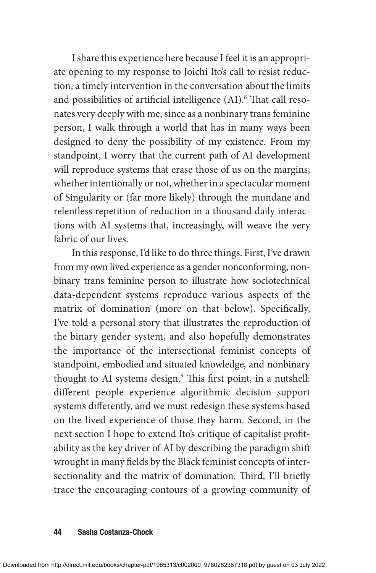I share this experience here because I feel it is an appropriate opening to my response to Joichi Ito's call to resist reduction, a timely intervention in the conversation about the limits and possibilities of artificial intelligence (AI).<sup>8</sup> That call resonates very deeply with me, since as a nonbinary trans feminine person, I walk through a world that has in many ways been designed to deny the possibility of my existence. From my standpoint, I worry that the current path of AI development will reproduce systems that erase those of us on the margins, whether intentionally or not, whether in a spectacular moment of Singularity or (far more likely) through the mundane and relentless repetition of reduction in a thousand daily interactions with AI systems that, increasingly, will weave the very fabric of our lives.

In this response, I'd like to do three things. First, I've drawn from my own lived experience as a gender nonconforming, nonbinary trans feminine person to illustrate how sociotechnical data-dependent systems reproduce various aspects of the matrix of domination (more on that below). Specifically, I've told a personal story that illustrates the reproduction of the binary gender system, and also hopefully demonstrates the importance of the intersectional feminist concepts of standpoint, embodied and situated knowledge, and nonbinary thought to AI systems design.<sup>9</sup> This first point, in a nutshell: different people experience algorithmic decision support systems differently, and we must redesign these systems based on the lived experience of those they harm. Second, in the next section I hope to extend Ito's critique of capitalist profitability as the key driver of AI by describing the paradigm shift wrought in many fields by the Black feminist concepts of intersectionality and the matrix of domination. Third, I'll briefly trace the encouraging contours of a growing community of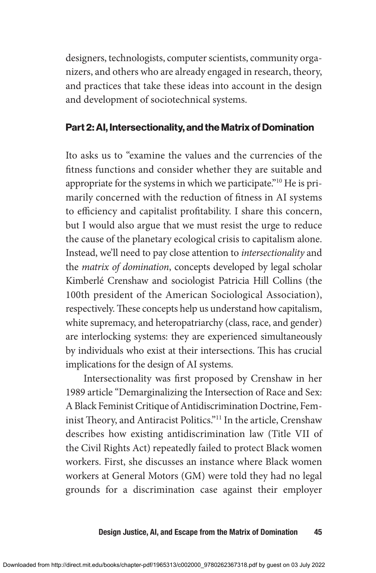designers, technologists, computer scientists, community organizers, and others who are already engaged in research, theory, and practices that take these ideas into account in the design and development of sociotechnical systems.

# Part 2: AI, Intersectionality, and the Matrix of Domination

Ito asks us to "examine the values and the currencies of the fitness functions and consider whether they are suitable and appropriate for the systems in which we participate."10 He is primarily concerned with the reduction of fitness in AI systems to efficiency and capitalist profitability. I share this concern, but I would also argue that we must resist the urge to reduce the cause of the planetary ecological crisis to capitalism alone. Instead, we'll need to pay close attention to *intersectionality* and the *matrix of domination*, concepts developed by legal scholar Kimberlé Crenshaw and sociologist Patricia Hill Collins (the 100th president of the American Sociological Association), respectively. These concepts help us understand how capitalism, white supremacy, and heteropatriarchy (class, race, and gender) are interlocking systems: they are experienced simultaneously by individuals who exist at their intersections. This has crucial implications for the design of AI systems.

Intersectionality was first proposed by Crenshaw in her 1989 article "Demarginalizing the Intersection of Race and Sex: A Black Feminist Critique of Antidiscrimination Doctrine, Feminist Theory, and Antiracist Politics."11 In the article, Crenshaw describes how existing antidiscrimination law (Title VII of the Civil Rights Act) repeatedly failed to protect Black women workers. First, she discusses an instance where Black women workers at General Motors (GM) were told they had no legal grounds for a discrimination case against their employer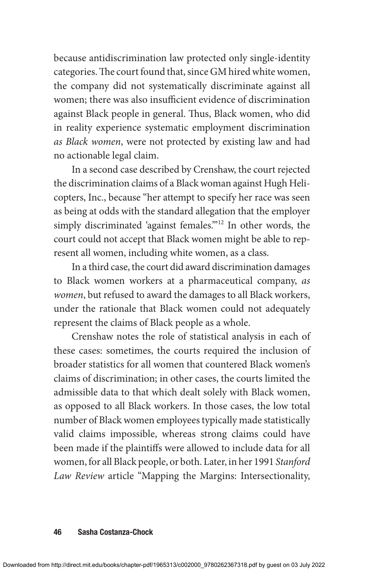because antidiscrimination law protected only single-identity categories. The court found that, since GM hired white women, the company did not systematically discriminate against all women; there was also insufficient evidence of discrimination against Black people in general. Thus, Black women, who did in reality experience systematic employment discrimination *as Black women*, were not protected by existing law and had no actionable legal claim.

In a second case described by Crenshaw, the court rejected the discrimination claims of a Black woman against Hugh Helicopters, Inc., because "her attempt to specify her race was seen as being at odds with the standard allegation that the employer simply discriminated 'against females."<sup>12</sup> In other words, the court could not accept that Black women might be able to represent all women, including white women, as a class.

In a third case, the court did award discrimination damages to Black women workers at a pharmaceutical company, *as women*, but refused to award the damages to all Black workers, under the rationale that Black women could not adequately represent the claims of Black people as a whole.

Crenshaw notes the role of statistical analysis in each of these cases: sometimes, the courts required the inclusion of broader statistics for all women that countered Black women's claims of discrimination; in other cases, the courts limited the admissible data to that which dealt solely with Black women, as opposed to all Black workers. In those cases, the low total number of Black women employees typically made statistically valid claims impossible, whereas strong claims could have been made if the plaintiffs were allowed to include data for all women, for all Black people, or both. Later, in her 1991 *Stanford Law Review* article "Mapping the Margins: Intersectionality,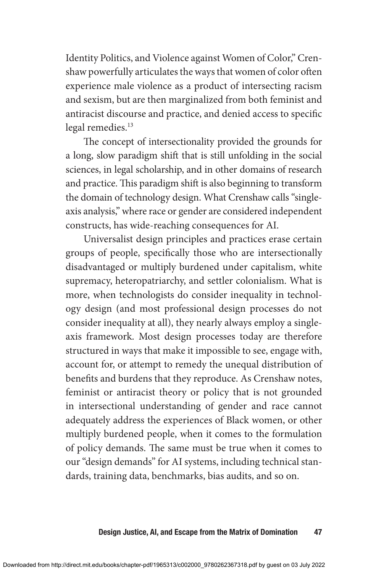Identity Politics, and Violence against Women of Color," Crenshaw powerfully articulates the ways that women of color often experience male violence as a product of intersecting racism and sexism, but are then marginalized from both feminist and antiracist discourse and practice, and denied access to specific legal remedies.<sup>13</sup>

The concept of intersectionality provided the grounds for a long, slow paradigm shift that is still unfolding in the social sciences, in legal scholarship, and in other domains of research and practice. This paradigm shift is also beginning to transform the domain of technology design. What Crenshaw calls "singleaxis analysis," where race or gender are considered independent constructs, has wide-reaching consequences for AI.

Universalist design principles and practices erase certain groups of people, specifically those who are intersectionally disadvantaged or multiply burdened under capitalism, white supremacy, heteropatriarchy, and settler colonialism. What is more, when technologists do consider inequality in technology design (and most professional design processes do not consider inequality at all), they nearly always employ a singleaxis framework. Most design processes today are therefore structured in ways that make it impossible to see, engage with, account for, or attempt to remedy the unequal distribution of benefits and burdens that they reproduce. As Crenshaw notes, feminist or antiracist theory or policy that is not grounded in intersectional understanding of gender and race cannot adequately address the experiences of Black women, or other multiply burdened people, when it comes to the formulation of policy demands. The same must be true when it comes to our "design demands" for AI systems, including technical standards, training data, benchmarks, bias audits, and so on.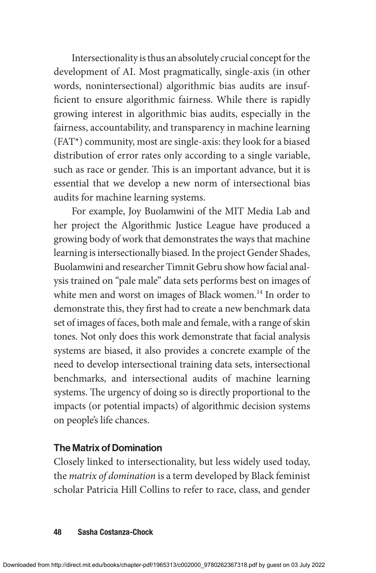Intersectionality is thus an absolutely crucial concept for the development of AI. Most pragmatically, single-axis (in other words, nonintersectional) algorithmic bias audits are insufficient to ensure algorithmic fairness. While there is rapidly growing interest in algorithmic bias audits, especially in the fairness, accountability, and transparency in machine learning (FAT\*) community, most are single-axis: they look for a biased distribution of error rates only according to a single variable, such as race or gender. This is an important advance, but it is essential that we develop a new norm of intersectional bias audits for machine learning systems.

For example, Joy Buolamwini of the MIT Media Lab and her project the Algorithmic Justice League have produced a growing body of work that demonstrates the ways that machine learning is intersectionally biased. In the project Gender Shades, Buolamwini and researcher Timnit Gebru show how facial analysis trained on "pale male" data sets performs best on images of white men and worst on images of Black women.<sup>14</sup> In order to demonstrate this, they first had to create a new benchmark data set of images of faces, both male and female, with a range of skin tones. Not only does this work demonstrate that facial analysis systems are biased, it also provides a concrete example of the need to develop intersectional training data sets, intersectional benchmarks, and intersectional audits of machine learning systems. The urgency of doing so is directly proportional to the impacts (or potential impacts) of algorithmic decision systems on people's life chances.

# The Matrix of Domination

Closely linked to intersectionality, but less widely used today, the *matrix of domination* is a term developed by Black feminist scholar Patricia Hill Collins to refer to race, class, and gender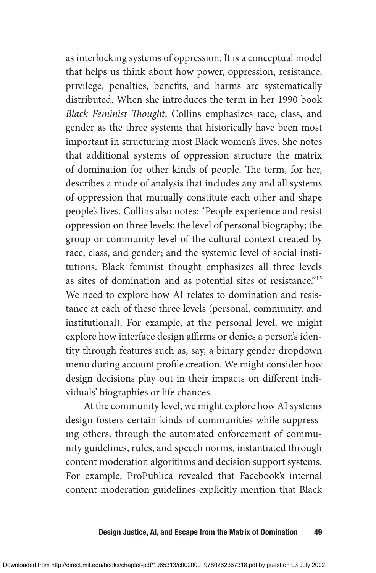as interlocking systems of oppression. It is a conceptual model that helps us think about how power, oppression, resistance, privilege, penalties, benefits, and harms are systematically distributed. When she introduces the term in her 1990 book *Black Feminist Thought*, Collins emphasizes race, class, and gender as the three systems that historically have been most important in structuring most Black women's lives. She notes that additional systems of oppression structure the matrix of domination for other kinds of people. The term, for her, describes a mode of analysis that includes any and all systems of oppression that mutually constitute each other and shape people's lives. Collins also notes: "People experience and resist oppression on three levels: the level of personal biography; the group or community level of the cultural context created by race, class, and gender; and the systemic level of social institutions. Black feminist thought emphasizes all three levels as sites of domination and as potential sites of resistance."<sup>15</sup> We need to explore how AI relates to domination and resistance at each of these three levels (personal, community, and institutional). For example, at the personal level, we might explore how interface design affirms or denies a person's identity through features such as, say, a binary gender dropdown menu during account profile creation. We might consider how design decisions play out in their impacts on different individuals' biographies or life chances.

At the community level, we might explore how AI systems design fosters certain kinds of communities while suppressing others, through the automated enforcement of community guidelines, rules, and speech norms, instantiated through content moderation algorithms and decision support systems. For example, ProPublica revealed that Facebook's internal content moderation guidelines explicitly mention that Black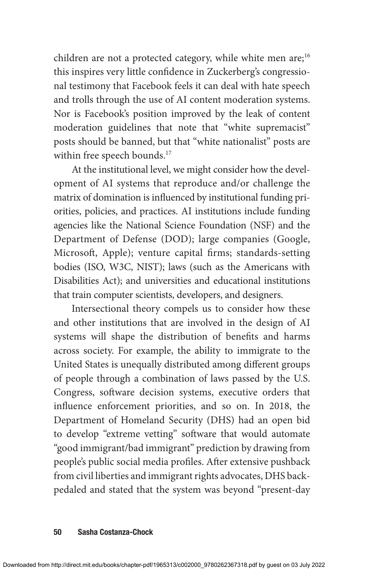children are not a protected category, while white men are;<sup>16</sup> this inspires very little confidence in Zuckerberg's congressional testimony that Facebook feels it can deal with hate speech and trolls through the use of AI content moderation systems. Nor is Facebook's position improved by the leak of content moderation guidelines that note that "white supremacist" posts should be banned, but that "white nationalist" posts are within free speech bounds.<sup>17</sup>

At the institutional level, we might consider how the development of AI systems that reproduce and/or challenge the matrix of domination is influenced by institutional funding priorities, policies, and practices. AI institutions include funding agencies like the National Science Foundation (NSF) and the Department of Defense (DOD); large companies (Google, Microsoft, Apple); venture capital firms; standards-setting bodies (ISO, W3C, NIST); laws (such as the Americans with Disabilities Act); and universities and educational institutions that train computer scientists, developers, and designers.

Intersectional theory compels us to consider how these and other institutions that are involved in the design of AI systems will shape the distribution of benefits and harms across society. For example, the ability to immigrate to the United States is unequally distributed among different groups of people through a combination of laws passed by the U.S. Congress, software decision systems, executive orders that influence enforcement priorities, and so on. In 2018, the Department of Homeland Security (DHS) had an open bid to develop "extreme vetting" software that would automate "good immigrant/bad immigrant" prediction by drawing from people's public social media profiles. After extensive pushback from civil liberties and immigrant rights advocates, DHS backpedaled and stated that the system was beyond "present-day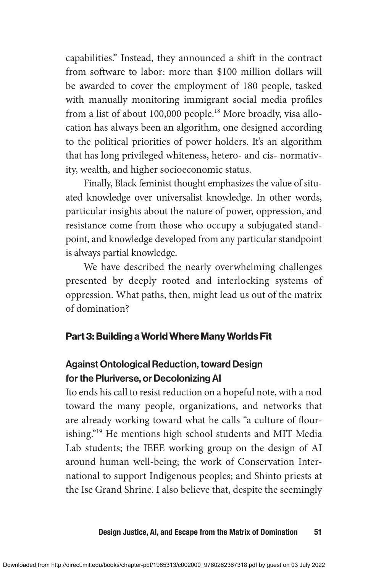capabilities." Instead, they announced a shift in the contract from software to labor: more than \$100 million dollars will be awarded to cover the employment of 180 people, tasked with manually monitoring immigrant social media profiles from a list of about 100,000 people.<sup>18</sup> More broadly, visa allocation has always been an algorithm, one designed according to the political priorities of power holders. It's an algorithm that has long privileged whiteness, hetero- and cis- normativity, wealth, and higher socioeconomic status.

Finally, Black feminist thought emphasizes the value of situated knowledge over universalist knowledge. In other words, particular insights about the nature of power, oppression, and resistance come from those who occupy a subjugated standpoint, and knowledge developed from any particular standpoint is always partial knowledge.

We have described the nearly overwhelming challenges presented by deeply rooted and interlocking systems of oppression. What paths, then, might lead us out of the matrix of domination?

# Part 3: Building a World Where Many Worlds Fit

# Against Ontological Reduction, toward Design for the Pluriverse, or Decolonizing AI

Ito ends his call to resist reduction on a hopeful note, with a nod toward the many people, organizations, and networks that are already working toward what he calls "a culture of flourishing."19 He mentions high school students and MIT Media Lab students; the IEEE working group on the design of AI around human well-being; the work of Conservation International to support Indigenous peoples; and Shinto priests at the Ise Grand Shrine. I also believe that, despite the seemingly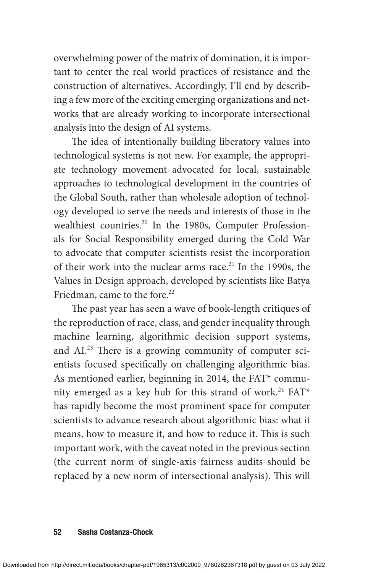overwhelming power of the matrix of domination, it is important to center the real world practices of resistance and the construction of alternatives. Accordingly, I'll end by describing a few more of the exciting emerging organizations and networks that are already working to incorporate intersectional analysis into the design of AI systems.

The idea of intentionally building liberatory values into technological systems is not new. For example, the appropriate technology movement advocated for local, sustainable approaches to technological development in the countries of the Global South, rather than wholesale adoption of technology developed to serve the needs and interests of those in the wealthiest countries.<sup>20</sup> In the 1980s, Computer Professionals for Social Responsibility emerged during the Cold War to advocate that computer scientists resist the incorporation of their work into the nuclear arms race.<sup>21</sup> In the 1990s, the Values in Design approach, developed by scientists like Batya Friedman, came to the fore.<sup>22</sup>

The past year has seen a wave of book-length critiques of the reproduction of race, class, and gender inequality through machine learning, algorithmic decision support systems, and AI.23 There is a growing community of computer scientists focused specifically on challenging algorithmic bias. As mentioned earlier, beginning in 2014, the FAT\* community emerged as a key hub for this strand of work.<sup>24</sup> FAT\* has rapidly become the most prominent space for computer scientists to advance research about algorithmic bias: what it means, how to measure it, and how to reduce it. This is such important work, with the caveat noted in the previous section (the current norm of single-axis fairness audits should be replaced by a new norm of intersectional analysis). This will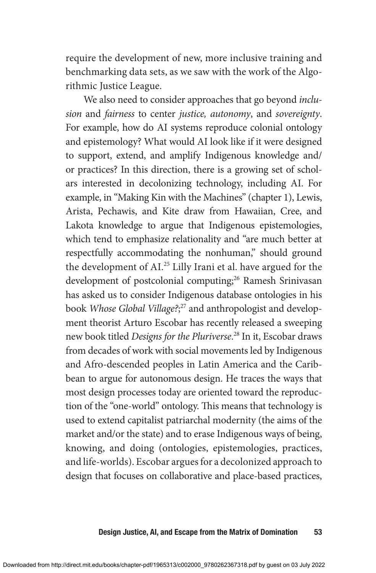require the development of new, more inclusive training and benchmarking data sets, as we saw with the work of the Algorithmic Justice League.

We also need to consider approaches that go beyond *inclusion* and *fairness* to center *justice, autonomy*, and *sovereignty*. For example, how do AI systems reproduce colonial ontology and epistemology? What would AI look like if it were designed to support, extend, and amplify Indigenous knowledge and/ or practices? In this direction, there is a growing set of scholars interested in decolonizing technology, including AI. For example, in "Making Kin with the Machines" (chapter 1), Lewis, Arista, Pechawis, and Kite draw from Hawaiian, Cree, and Lakota knowledge to argue that Indigenous epistemologies, which tend to emphasize relationality and "are much better at respectfully accommodating the nonhuman," should ground the development of AI.25 Lilly Irani et al. have argued for the development of postcolonial computing;<sup>26</sup> Ramesh Srinivasan has asked us to consider Indigenous database ontologies in his book *Whose Global Village?*; 27 and anthropologist and development theorist Arturo Escobar has recently released a sweeping new book titled *Designs for the Pluriverse*. 28 In it, Escobar draws from decades of work with social movements led by Indigenous and Afro-descended peoples in Latin America and the Caribbean to argue for autonomous design. He traces the ways that most design processes today are oriented toward the reproduction of the "one-world" ontology. This means that technology is used to extend capitalist patriarchal modernity (the aims of the market and/or the state) and to erase Indigenous ways of being, knowing, and doing (ontologies, epistemologies, practices, and life-worlds). Escobar argues for a decolonized approach to design that focuses on collaborative and place-based practices,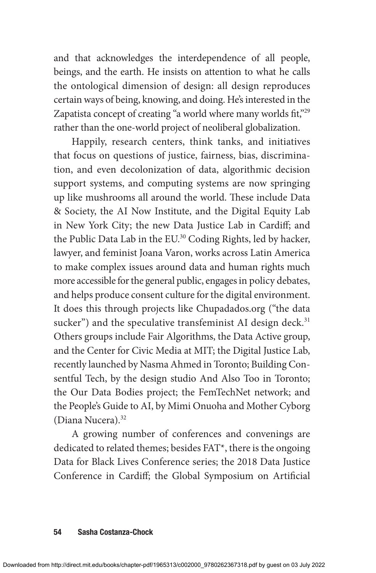and that acknowledges the interdependence of all people, beings, and the earth. He insists on attention to what he calls the ontological dimension of design: all design reproduces certain ways of being, knowing, and doing. He's interested in the Zapatista concept of creating "a world where many worlds fit,"29 rather than the one-world project of neoliberal globalization.

Happily, research centers, think tanks, and initiatives that focus on questions of justice, fairness, bias, discrimination, and even decolonization of data, algorithmic decision support systems, and computing systems are now springing up like mushrooms all around the world. These include Data & Society, the AI Now Institute, and the Digital Equity Lab in New York City; the new Data Justice Lab in Cardiff; and the Public Data Lab in the EU.<sup>30</sup> Coding Rights, led by hacker, lawyer, and feminist Joana Varon, works across Latin America to make complex issues around data and human rights much more accessible for the general public, engages in policy debates, and helps produce consent culture for the digital environment. It does this through projects like Chupadados.org ("the data sucker") and the speculative transfeminist AI design deck.<sup>31</sup> Others groups include Fair Algorithms, the Data Active group, and the Center for Civic Media at MIT; the Digital Justice Lab, recently launched by Nasma Ahmed in Toronto; Building Consentful Tech, by the design studio And Also Too in Toronto; the Our Data Bodies project; the FemTechNet network; and the People's Guide to AI, by Mimi Onuoha and Mother Cyborg (Diana Nucera).<sup>32</sup>

A growing number of conferences and convenings are dedicated to related themes; besides FAT\*, there is the ongoing Data for Black Lives Conference series; the 2018 Data Justice Conference in Cardiff; the Global Symposium on Artificial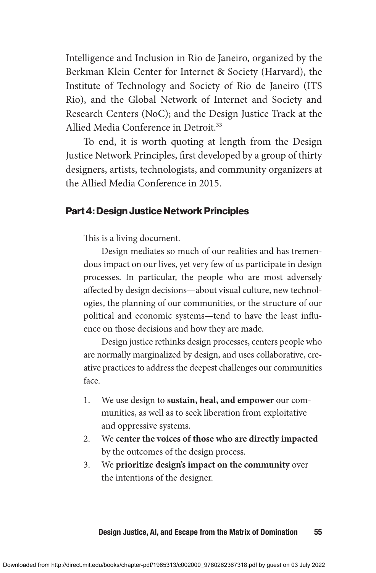Intelligence and Inclusion in Rio de Janeiro, organized by the Berkman Klein Center for Internet & Society (Harvard), the Institute of Technology and Society of Rio de Janeiro (ITS Rio), and the Global Network of Internet and Society and Research Centers (NoC); and the Design Justice Track at the Allied Media Conference in Detroit.<sup>33</sup>

To end, it is worth quoting at length from the Design Justice Network Principles, first developed by a group of thirty designers, artists, technologists, and community organizers at the Allied Media Conference in 2015.

# Part 4: Design Justice Network Principles

This is a living document.

Design mediates so much of our realities and has tremendous impact on our lives, yet very few of us participate in design processes. In particular, the people who are most adversely affected by design decisions—about visual culture, new technologies, the planning of our communities, or the structure of our political and economic systems—tend to have the least influence on those decisions and how they are made.

Design justice rethinks design processes, centers people who are normally marginalized by design, and uses collaborative, creative practices to address the deepest challenges our communities face.

- 1. We use design to **sustain, heal, and empower** our communities, as well as to seek liberation from exploitative and oppressive systems.
- 2. We **center the voices of those who are directly impacted** by the outcomes of the design process.
- 3. We **prioritize design's impact on the community** over the intentions of the designer.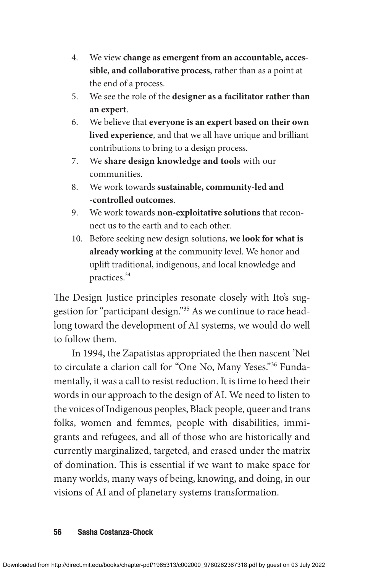- 4. We view **change as emergent from an accountable, accessible, and collaborative process**, rather than as a point at the end of a process.
- 5. We see the role of the **designer as a facilitator rather than an expert**.
- 6. We believe that **everyone is an expert based on their own lived experience**, and that we all have unique and brilliant contributions to bring to a design process.
- 7. We **share design knowledge and tools** with our communities.
- 8. We work towards **sustainable, community-led and -controlled outcomes**.
- 9. We work towards **non-exploitative solutions** that reconnect us to the earth and to each other.
- 10. Before seeking new design solutions, **we look for what is already working** at the community level. We honor and uplift traditional, indigenous, and local knowledge and practices.34

The Design Justice principles resonate closely with Ito's suggestion for "participant design."35 As we continue to race headlong toward the development of AI systems, we would do well to follow them.

In 1994, the Zapatistas appropriated the then nascent 'Net to circulate a clarion call for "One No, Many Yeses."<sup>36</sup> Fundamentally, it was a call to resist reduction. It is time to heed their words in our approach to the design of AI. We need to listen to the voices of Indigenous peoples, Black people, queer and trans folks, women and femmes, people with disabilities, immigrants and refugees, and all of those who are historically and currently marginalized, targeted, and erased under the matrix of domination. This is essential if we want to make space for many worlds, many ways of being, knowing, and doing, in our visions of AI and of planetary systems transformation.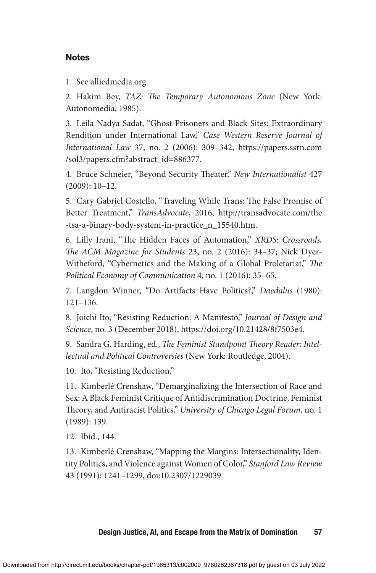## Notes

1. See alliedmedia.org.

2. Hakim Bey, *TAZ: The Temporary Autonomous Zone* (New York: Autonomedia, 1985).

3. Leila Nadya Sadat, "Ghost Prisoners and Black Sites: Extraordinary Rendition under International Law," *Case Western Reserve Journal of International Law* 37, no. 2 (2006): 309–342, [https://papers.ssrn.com](https://papers.ssrn.com/sol3/papers.cfm?abstract_id=886377) [/sol3/papers.cfm?abstract\\_id=886377.](https://papers.ssrn.com/sol3/papers.cfm?abstract_id=886377)

4. Bruce Schneier, "Beyond Security Theater," *New Internationalist* 427 (2009): 10–12.

5. Cary Gabriel Costello, "Traveling While Trans: The False Promise of Better Treatment," *TransAdvocate*, 2016, [http://transadvocate.com/the](http://transadvocate.com/the-tsa-a-binary-body-system-in-practice_n_15540.htm) [-tsa-a-binary-body-system-in-practice\\_n\\_15540.htm.](http://transadvocate.com/the-tsa-a-binary-body-system-in-practice_n_15540.htm)

6. Lilly Irani, "The Hidden Faces of Automation," *XRDS: Crossroads, The ACM Magazine for Students* 23, no. 2 (2016): 34–37; Nick Dyer-Witheford, "Cybernetics and the Making of a Global Proletariat," *The Political Economy of Communication* 4, no. 1 (2016): 35–65.

7. Langdon Winner, "Do Artifacts Have Politics?," *Daedalus* (1980): 121–136.

8. Joichi Ito, "Resisting Reduction: A Manifesto," *Journal of Design and Science*, no. 3 (December 2018),<https://doi.org/10.21428/8f7503e4>.

9. Sandra G. Harding, ed., *The Feminist Standpoint Theory Reader: Intellectual and Political Controversies* (New York: Routledge, 2004).

10. Ito, "Resisting Reduction."

11. Kimberlé Crenshaw, "Demarginalizing the Intersection of Race and Sex: A Black Feminist Critique of Antidiscrimination Doctrine, Feminist Theory, and Antiracist Politics," *University of Chicago Legal Forum*, no. 1 (1989): 139.

12. Ibid., 144.

13. Kimberlé Crenshaw, "Mapping the Margins: Intersectionality, Identity Politics, and Violence against Women of Color," *Stanford Law Review* 43 (1991): 1241–1299, doi:10.2307/1229039.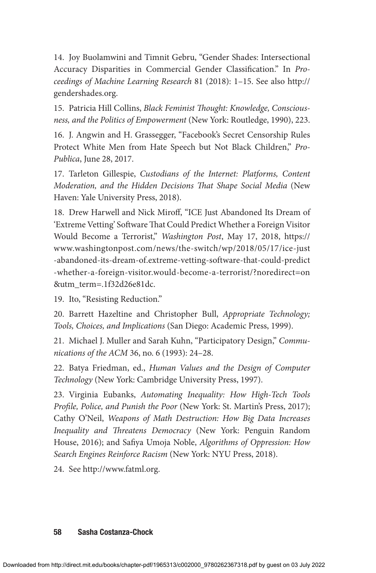14. Joy Buolamwini and Timnit Gebru, "Gender Shades: Intersectional Accuracy Disparities in Commercial Gender Classification." In *Proceedings of Machine Learning Research* 81 (2018): 1–15. See also [http://](http://gendershades.org) [gendershades.org.](http://gendershades.org)

15. Patricia Hill Collins, *Black Feminist Thought: Knowledge, Consciousness, and the Politics of Empowerment* (New York: Routledge, 1990), 223.

16. J. Angwin and H. Grassegger, "Facebook's Secret Censorship Rules Protect White Men from Hate Speech but Not Black Children," *Pro-Publica*, June 28, 2017.

17. Tarleton Gillespie, *Custodians of the Internet: Platforms, Content Moderation, and the Hidden Decisions That Shape Social Media* (New Haven: Yale University Press, 2018).

18. Drew Harwell and Nick Miroff, "ICE Just Abandoned Its Dream of 'Extreme Vetting' Software That Could Predict Whether a Foreign Visitor Would Become a Terrorist," *Washington Post*, May 17, 2018, [https://](https://www.washingtonpost.com/news/the-switch/wp/2018/05/17/ice-just-abandoned-its-dream-of.extreme-vetting-software-that-could-predict-whether-a-foreign-visitor.would-become-a-terrorist/?noredirect=on&utm_term=.1f32d26e81dc) [www.washingtonpost.com/news/the-switch/wp/2018/05/17/ice-just](https://www.washingtonpost.com/news/the-switch/wp/2018/05/17/ice-just-abandoned-its-dream-of.extreme-vetting-software-that-could-predict-whether-a-foreign-visitor.would-become-a-terrorist/?noredirect=on&utm_term=.1f32d26e81dc) [-abandoned-its-dream-of.extreme-vetting-software-that-could-predict](https://www.washingtonpost.com/news/the-switch/wp/2018/05/17/ice-just-abandoned-its-dream-of.extreme-vetting-software-that-could-predict-whether-a-foreign-visitor.would-become-a-terrorist/?noredirect=on&utm_term=.1f32d26e81dc) [-whether-a-foreign-visitor.would-become-a-terrorist/?noredirect=on](https://www.washingtonpost.com/news/the-switch/wp/2018/05/17/ice-just-abandoned-its-dream-of.extreme-vetting-software-that-could-predict-whether-a-foreign-visitor.would-become-a-terrorist/?noredirect=on&utm_term=.1f32d26e81dc) [&utm\\_term=.1f32d26e81dc](https://www.washingtonpost.com/news/the-switch/wp/2018/05/17/ice-just-abandoned-its-dream-of.extreme-vetting-software-that-could-predict-whether-a-foreign-visitor.would-become-a-terrorist/?noredirect=on&utm_term=.1f32d26e81dc).

19. Ito, "Resisting Reduction."

20. Barrett Hazeltine and Christopher Bull, *Appropriate Technology; Tools, Choices, and Implications* (San Diego: Academic Press, 1999).

21. Michael J. Muller and Sarah Kuhn, "Participatory Design," *Communications of the ACM* 36, no. 6 (1993): 24–28.

22. Batya Friedman, ed., *Human Values and the Design of Computer Technology* (New York: Cambridge University Press, 1997).

23. Virginia Eubanks, *Automating Inequality: How High-Tech Tools Profile, Police, and Punish the Poor* (New York: St. Martin's Press, 2017); Cathy O'Neil, *Weapons of Math Destruction: How Big Data Increases Inequality and Threatens Democracy* (New York: Penguin Random House, 2016); and Safiya Umoja Noble, *Algorithms of Oppression: How Search Engines Reinforce Racism* (New York: NYU Press, 2018).

24. See<http://www.fatml.org>.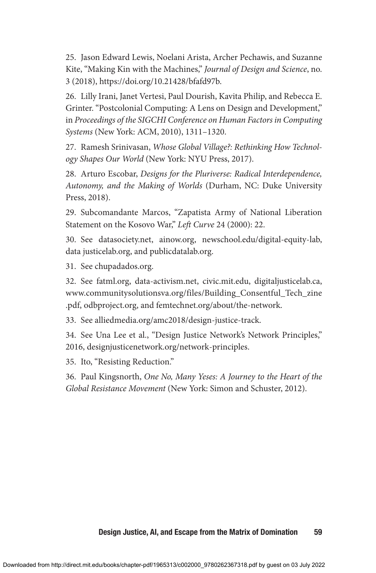25. Jason Edward Lewis, Noelani Arista, Archer Pechawis, and Suzanne Kite, "Making Kin with the Machines," *Journal of Design and Science*, no. 3 (2018), <https://doi.org/10.21428/bfafd97b>.

26. Lilly Irani, Janet Vertesi, Paul Dourish, Kavita Philip, and Rebecca E. Grinter. "Postcolonial Computing: A Lens on Design and Development," in *Proceedings of the SIGCHI Conference on Human Factors in Computing Systems* (New York: ACM, 2010), 1311–1320.

27. Ramesh Srinivasan, *Whose Global Village?: Rethinking How Technology Shapes Our World* (New York: NYU Press, 2017).

28. Arturo Escobar, *Designs for the Pluriverse: Radical Interdependence, Autonomy, and the Making of Worlds* (Durham, NC: Duke University Press, 2018).

29. Subcomandante Marcos, "Zapatista Army of National Liberation Statement on the Kosovo War," *Left Curve* 24 (2000): 22.

30. See datasociety.net, ainow.org, newschool.edu/digital-equity-lab, data justicelab.org, and publicdatalab.org.

31. See chupadados.org.

32. See fatml.org, data-activism.net, civic.mit.edu, digitaljusticelab.ca, [www.communitysolutionsva.org/files/Building\\_Consentful\\_Tech\\_zine](http://www.communitysolutionsva.org/files/Building_Consentful_Tech_zine.pdf) [.pdf](http://www.communitysolutionsva.org/files/Building_Consentful_Tech_zine.pdf), odbproject.org, and femtechnet.org/about/the-network.

33. See alliedmedia.org/amc2018/design-justice-track.

34. See Una Lee et al., "Design Justice Network's Network Principles," 2016, designjusticenetwork.org/network-principles.

35. Ito, "Resisting Reduction."

36. Paul Kingsnorth, *One No, Many Yeses: A Journey to the Heart of the Global Resistance Movement* (New York: Simon and Schuster, 2012).